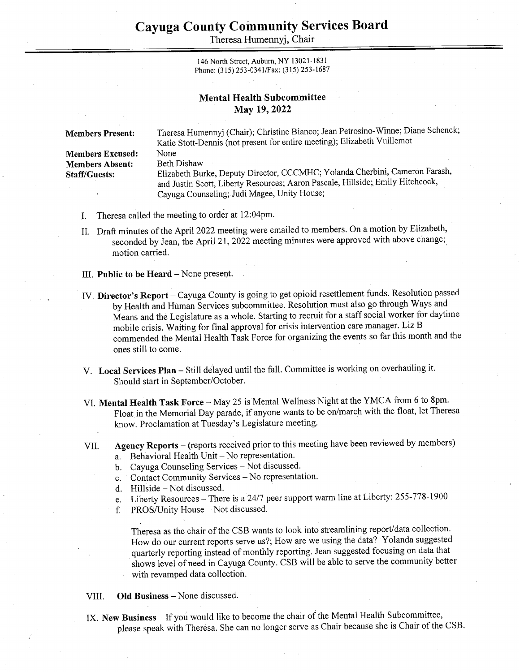Theresa Humennyj, Chair

146 North Street, Auburn, NY 13021-1831 Phone: (315) 253-034 1/Fax: (315) 253-1687

## Mental Health Subcommittee May 19, 2022

Members Present: Theresa Humennyj (Chair); Christine Bianco; Jean Petrosino-Winne; Diane Schenck; Katie Stott-Dennis (not present for entire meeting); Elizabeth Vuillemot Members Excused: None Members Absent: Beth Dishaw Staff/Guests: Elizabeth Burke, Deputy Director, CCCMHC; Yolanda Cherbini, Cameron Farash, and Justin Scott, Liberty Resources; Aaron Pascale, Hillside; Emily Hitchcock, Cayuga Counseling; Judi Magee, Unity House;

- I. Theresa called the meeting to order at 12:04pm.
- II. Draft minutes of the April 2022 meeting were emailed to members. On a motion by Elizabeth, seconded by Jean, the April 21, 2022 meeting minutes were approved with above change; motion carried.
- III. Public to be Heard  $-$  None present.
- IV. Director's Report Cayuga County is going to get opioid resettlement funds. Resolution passed by Health and Human Services subcommittee. Resolution must also go through Ways and Means and the Legislature as a whole. Starting to recruit for a staff social worker for daytime mobile crisis. Waiting for final approval for crisis intervention care manager. Liz B commended the Mental Health Task Force for organizing the events so far this month and the ones still to come.
- V. Local Services Plan Still delayed until the fall. Committee is working on overhauling it. Should start in September/October.
- VI. Mental Health Task Force May 25 is Mental Wellness Night at the YMCA from 6 to 8pm. Float in the Memorial Day parade, if anyone wants to be on/march with the float, let Theresa know. Proclamation at Tuesday's Legislature meeting.
- VIL. Agency Reports — (reports received prior to this meeting have been reviewed by members) a. Behavioral Health Unit – No representation.
	- b. Cayuga Counseling Services Not discussed.
	- a.<br>b.<br>c.<br>d.<br>e.<br>f. c. Contact Community Services - No representation.
	- d. Hillside Not discussed.
	- Liberty Resources There is a 24/7 peer support warm line at Liberty: 255-778-1900
	- PROS/Unity House Not discussed.

Theresa as the chair of the CSB wants to look into streamlining report/data collection. How do our current reports serve us?; How are we using the data? Yolanda suggested quarterly reporting instead of monthly reporting. Jean suggested focusing on data that shows level of need in Cayuga County. CSB will be able to serve the community better with revamped data collection.

- VIL. Old Business — None discussed.
- IX. New Business If you would like to become the chair of the Mental Health Subcommittee, please speak with Theresa. She can no longer serve as Chair because she is Chair of the CSB.